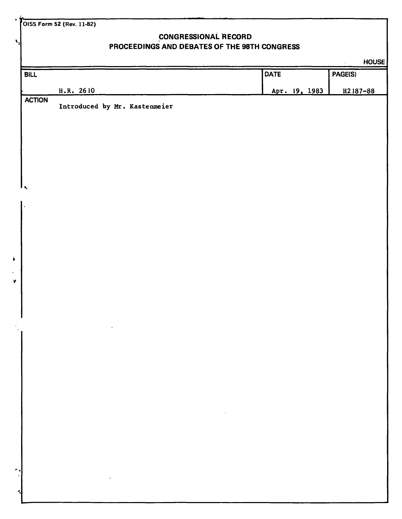**OISS Form 52 (Rev. 11-82)** 

**V.** 

## **CONGRESSIONAL RECORD PROCEEDINGS AND DEBATES OF THE 98TH CONGRESS**

|                      |                                                                                                                                                                                 |               | <b>HOUSE</b><br>$\ddot{\phantom{0}}$ |
|----------------------|---------------------------------------------------------------------------------------------------------------------------------------------------------------------------------|---------------|--------------------------------------|
| <b>BILL</b>          |                                                                                                                                                                                 | <b>DATE</b>   | PAGE(S)                              |
|                      | H.R. 2610                                                                                                                                                                       | Apr. 19, 1983 | H <sub>2</sub> 187-88                |
| <b>ACTION</b>        | Introduced by Mr. Kastenmeier                                                                                                                                                   |               |                                      |
|                      |                                                                                                                                                                                 |               |                                      |
|                      |                                                                                                                                                                                 |               |                                      |
|                      |                                                                                                                                                                                 |               |                                      |
|                      |                                                                                                                                                                                 |               |                                      |
|                      |                                                                                                                                                                                 |               |                                      |
| ۱,                   |                                                                                                                                                                                 |               |                                      |
|                      |                                                                                                                                                                                 |               |                                      |
| $\ddot{\phantom{0}}$ |                                                                                                                                                                                 |               |                                      |
|                      |                                                                                                                                                                                 |               |                                      |
|                      |                                                                                                                                                                                 |               |                                      |
|                      |                                                                                                                                                                                 |               |                                      |
|                      |                                                                                                                                                                                 |               |                                      |
|                      |                                                                                                                                                                                 |               |                                      |
|                      |                                                                                                                                                                                 |               |                                      |
|                      |                                                                                                                                                                                 |               |                                      |
|                      |                                                                                                                                                                                 |               |                                      |
|                      |                                                                                                                                                                                 |               |                                      |
|                      |                                                                                                                                                                                 |               |                                      |
|                      |                                                                                                                                                                                 |               |                                      |
|                      |                                                                                                                                                                                 |               |                                      |
|                      |                                                                                                                                                                                 |               |                                      |
|                      |                                                                                                                                                                                 |               |                                      |
|                      | $\mathcal{L}(\mathcal{L}^{\mathcal{L}})$ and $\mathcal{L}(\mathcal{L}^{\mathcal{L}})$ and $\mathcal{L}(\mathcal{L}^{\mathcal{L}})$ and $\mathcal{L}(\mathcal{L}^{\mathcal{L}})$ |               |                                      |
|                      |                                                                                                                                                                                 |               |                                      |
|                      |                                                                                                                                                                                 |               |                                      |
|                      |                                                                                                                                                                                 |               |                                      |
|                      |                                                                                                                                                                                 |               |                                      |
|                      | $\mathcal{L}^{\mathcal{L}}(\mathcal{L}^{\mathcal{L}})$ and $\mathcal{L}^{\mathcal{L}}(\mathcal{L}^{\mathcal{L}})$ and $\mathcal{L}^{\mathcal{L}}(\mathcal{L}^{\mathcal{L}})$    |               |                                      |
|                      |                                                                                                                                                                                 |               |                                      |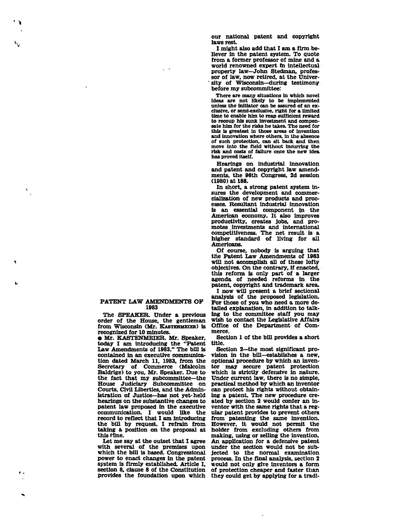**our national patent and copyright laws rest.** 

**I might also add that I am a firm believer in the patent system. To quote from a former professor of mine and a world renowned expert m intellectual property law—John Stedman, professor of law, now retired, at the Univer- ' sity of Wisconsin—during testimony before my subcommittee:** 

**There are many situations in which novel ideas are not likely to be implemented unless the initiator can be assured of an exclusive, or semi-exclusive, right for a limited time to enable him to reap sufficient reward to recoup his sunk investment and compensate him for the risks he takes. The need for this is greatest in those areas of invention and innovation where others, in the absence of such protection, can sit back and then move into, the field without incurring the risk and costs of failure once the new idea has proved itself.** 

**Hearings on industrial innovation and patent and copyright law amendments, the 96th Congress, 2d session (1980) at 188.** 

**In short, a strong patent system insures the development and commercialization of new products and processes. Resultant industrial innovation is an essential component in the American economy. It also improves productivity, creates jobs, and promotes .investments and international competitiveness. The net result is a higher standard of living for all Americans.** 

**Of course, nobody is arguing that the Patent Law Amendments of 1983 will not accomplish all of these lofty objectives. On the contrary, if enacted, this reform is only part of a larger agenda of needed reforms in the patent, copyright and trademark area.** 

**I now will present a brief sectional analysis of the proposed legislation. For those of you who need a more detailed explanation, in addition to talking to the committee staff you may wish to contact the Legislative Affairs Office of the Department of Commerce.** 

**Section 1 of the bill provides a short title.** 

**Section 2—the most significant provision in the bill—establishes a new, optional procedure by which an inventor may secure patent protection which is strictly defensive in nature. Under current law, there is no simple, practical method by which an inventor can protect his rights without obtaining a patent. The new procedure created by section 2 would confer an inventor with the same rights that a regular patent provides to prevent others from patenting the same invention. However, it would not permit the holder from excluding others from making, using or selling the invention. An application for a defensive patent under the section would not be subjected to the normal examination process. In the final analysis, section 2 would not only give inventors a form of protection cheaper and faster than they could get by applying for a tradi-**

**PATENT LAW AMENDMENTS OF 1983** 

**The SPEAKER. Under a previous order of the House, the gentleman from Wisconsin (Mr. KASTENMETER) is recognized for 10 minutes.** 

**• Mr. KASTENMEIER. Mr. Speaker, today I am introducing the "Patent Law Amendments of 1983." The bill is contained in an executive communication dated March 11, 1983, from the Secretary of Commerce (Malcolm Baldrige) to you, Mr. Speaker. Due to the fact that my subcommittee—the House Judiciary Subcommittee on Courts, Civil Liberties, and the Administration of Justice—has not yet-held hearings on the substantive changes to patent law proposed in the executive communication. I would like the record to reflect that I am introducing the bill by request. I refrain from taking a position on the proposal at this time.** 

**Let me say at the outset that I agree with several of the premises upon which the bill is based. Congressional power to enact changes in the patent system is firmly established. Article I, section 8, clause 8 of the Constitution provides the foundation upon which**